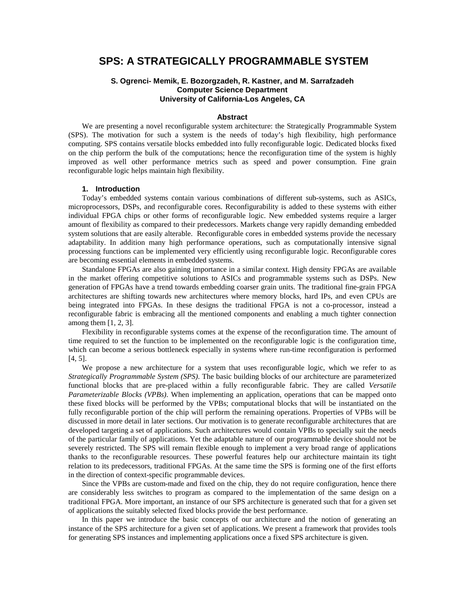# **SPS: A STRATEGICALLY PROGRAMMABLE SYSTEM**

## **S. Ogrenci- Memik, E. Bozorgzadeh, R. Kastner, and M. Sarrafzadeh Computer Science Department University of California-Los Angeles, CA**

## **Abstract**

We are presenting a novel reconfigurable system architecture: the Strategically Programmable System (SPS). The motivation for such a system is the needs of today's high flexibility, high performance computing. SPS contains versatile blocks embedded into fully reconfigurable logic. Dedicated blocks fixed on the chip perform the bulk of the computations; hence the reconfiguration time of the system is highly improved as well other performance metrics such as speed and power consumption. Fine grain reconfigurable logic helps maintain high flexibility.

#### **1. Introduction**

Today's embedded systems contain various combinations of different sub-systems, such as ASICs, microprocessors, DSPs, and reconfigurable cores. Reconfigurability is added to these systems with either individual FPGA chips or other forms of reconfigurable logic. New embedded systems require a larger amount of flexibility as compared to their predecessors. Markets change very rapidly demanding embedded system solutions that are easily alterable. Reconfigurable cores in embedded systems provide the necessary adaptability. In addition many high performance operations, such as computationally intensive signal processing functions can be implemented very efficiently using reconfigurable logic. Reconfigurable cores are becoming essential elements in embedded systems.

Standalone FPGAs are also gaining importance in a similar context. High density FPGAs are available in the market offering competitive solutions to ASICs and programmable systems such as DSPs. New generation of FPGAs have a trend towards embedding coarser grain units. The traditional fine-grain FPGA architectures are shifting towards new architectures where memory blocks, hard IPs, and even CPUs are being integrated into FPGAs. In these designs the traditional FPGA is not a co-processor, instead a reconfigurable fabric is embracing all the mentioned components and enabling a much tighter connection among them [1, 2, 3].

Flexibility in reconfigurable systems comes at the expense of the reconfiguration time. The amount of time required to set the function to be implemented on the reconfigurable logic is the configuration time, which can become a serious bottleneck especially in systems where run-time reconfiguration is performed [4, 5].

We propose a new architecture for a system that uses reconfigurable logic, which we refer to as *Strategically Programmable System (SPS)*. The basic building blocks of our architecture are parameterized functional blocks that are pre-placed within a fully reconfigurable fabric. They are called *Versatile Parameterizable Blocks (VPBs)*. When implementing an application, operations that can be mapped onto these fixed blocks will be performed by the VPBs; computational blocks that will be instantiated on the fully reconfigurable portion of the chip will perform the remaining operations. Properties of VPBs will be discussed in more detail in later sections. Our motivation is to generate reconfigurable architectures that are developed targeting a set of applications. Such architectures would contain VPBs to specially suit the needs of the particular family of applications. Yet the adaptable nature of our programmable device should not be severely restricted. The SPS will remain flexible enough to implement a very broad range of applications thanks to the reconfigurable resources. These powerful features help our architecture maintain its tight relation to its predecessors, traditional FPGAs. At the same time the SPS is forming one of the first efforts in the direction of context-specific programmable devices.

Since the VPBs are custom-made and fixed on the chip, they do not require configuration, hence there are considerably less switches to program as compared to the implementation of the same design on a traditional FPGA. More important, an instance of our SPS architecture is generated such that for a given set of applications the suitably selected fixed blocks provide the best performance.

In this paper we introduce the basic concepts of our architecture and the notion of generating an instance of the SPS architecture for a given set of applications. We present a framework that provides tools for generating SPS instances and implementing applications once a fixed SPS architecture is given.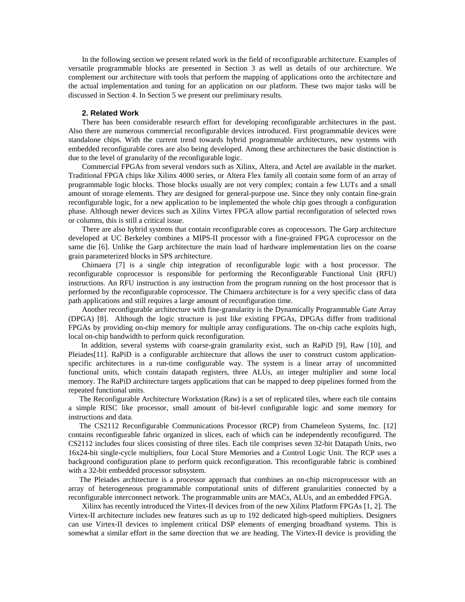In the following section we present related work in the field of reconfigurable architecture. Examples of versatile programmable blocks are presented in Section 3 as well as details of our architecture. We complement our architecture with tools that perform the mapping of applications onto the architecture and the actual implementation and tuning for an application on our platform. These two major tasks will be discussed in Section 4. In Section 5 we present our preliminary results.

#### **2. Related Work**

There has been considerable research effort for developing reconfigurable architectures in the past. Also there are numerous commercial reconfigurable devices introduced. First programmable devices were standalone chips. With the current trend towards hybrid programmable architectures, new systems with embedded reconfigurable cores are also being developed. Among these architectures the basic distinction is due to the level of granularity of the reconfigurable logic.

Commercial FPGAs from several vendors such as Xilinx, Altera, and Actel are available in the market. Traditional FPGA chips like Xilinx 4000 series, or Altera Flex family all contain some form of an array of programmable logic blocks. Those blocks usually are not very complex; contain a few LUTs and a small amount of storage elements. They are designed for general-purpose use. Since they only contain fine-grain reconfigurable logic, for a new application to be implemented the whole chip goes through a configuration phase. Although newer devices such as Xilinx Virtex FPGA allow partial reconfiguration of selected rows or columns, this is still a critical issue.

There are also hybrid systems that contain reconfigurable cores as coprocessors. The Garp architecture developed at UC Berkeley combines a MIPS-II processor with a fine-grained FPGA coprocessor on the same die [6]. Unlike the Garp architecture the main load of hardware implementation lies on the coarse grain parameterized blocks in SPS architecture.

Chimaera [7] is a single chip integration of reconfigurable logic with a host processor. The reconfigurable coprocessor is responsible for performing the Reconfigurable Functional Unit (RFU) instructions. An RFU instruction is any instruction from the program running on the host processor that is performed by the reconfigurable coprocessor. The Chimaera architecture is for a very specific class of data path applications and still requires a large amount of reconfiguration time.

Another reconfigurable architecture with fine-granularity is the Dynamically Programmable Gate Array (DPGA) [8]. Although the logic structure is just like existing FPGAs, DPGAs differ from traditional FPGAs by providing on-chip memory for multiple array configurations. The on-chip cache exploits high, local on-chip bandwidth to perform quick reconfiguration.

In addition, several systems with coarse-grain granularity exist, such as RaPiD [9], Raw [10], and Pleiades[11]. RaPiD is a configurable architecture that allows the user to construct custom applicationspecific architectures in a run-time configurable way. The system is a linear array of uncommitted functional units, which contain datapath registers, three ALUs, an integer multiplier and some local memory. The RaPiD architecture targets applications that can be mapped to deep pipelines formed from the repeated functional units.

The Reconfigurable Architecture Workstation (Raw) is a set of replicated tiles, where each tile contains a simple RISC like processor, small amount of bit-level configurable logic and some memory for instructions and data.

The CS2112 Reconfigurable Communications Processor (RCP) from Chameleon Systems, Inc. [12] contains reconfigurable fabric organized in slices, each of which can be independently reconfigured. The CS2112 includes four slices consisting of three tiles. Each tile comprises seven 32-bit Datapath Units, two 16x24-bit single-cycle multipliers, four Local Store Memories and a Control Logic Unit. The RCP uses a background configuration plane to perform quick reconfiguration. This reconfigurable fabric is combined with a 32-bit embedded processor subsystem.

The Pleiades architecture is a processor approach that combines an on-chip microprocessor with an array of heterogeneous programmable computational units of different granularities connected by a reconfigurable interconnect network. The programmable units are MACs, ALUs, and an embedded FPGA.

Xilinx has recently introduced the Virtex-II devices from of the new Xilinx Platform FPGAs [1, 2]. The Virtex-II architecture includes new features such as up to 192 dedicated high-speed multipliers. Designers can use Virtex-II devices to implement critical DSP elements of emerging broadband systems. This is somewhat a similar effort in the same direction that we are heading. The Virtex-II device is providing the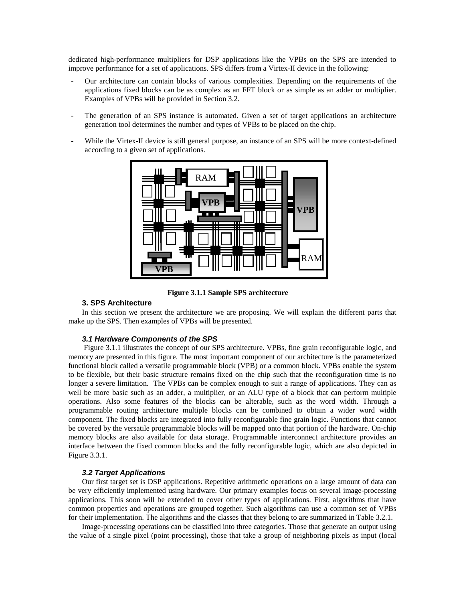dedicated high-performance multipliers for DSP applications like the VPBs on the SPS are intended to improve performance for a set of applications. SPS differs from a Virtex-II device in the following:

- Our architecture can contain blocks of various complexities. Depending on the requirements of the applications fixed blocks can be as complex as an FFT block or as simple as an adder or multiplier. Examples of VPBs will be provided in Section 3.2.
- The generation of an SPS instance is automated. Given a set of target applications an architecture generation tool determines the number and types of VPBs to be placed on the chip.
- While the Virtex-II device is still general purpose, an instance of an SPS will be more context-defined according to a given set of applications.



**Figure 3.1.1 Sample SPS architecture**

#### **3. SPS Architecture**

In this section we present the architecture we are proposing. We will explain the different parts that make up the SPS. Then examples of VPBs will be presented.

#### **3.1 Hardware Components of the SPS**

Figure 3.1.1 illustrates the concept of our SPS architecture. VPBs, fine grain reconfigurable logic, and memory are presented in this figure. The most important component of our architecture is the parameterized functional block called a versatile programmable block (VPB) or a common block. VPBs enable the system to be flexible, but their basic structure remains fixed on the chip such that the reconfiguration time is no longer a severe limitation. The VPBs can be complex enough to suit a range of applications. They can as well be more basic such as an adder, a multiplier, or an ALU type of a block that can perform multiple operations. Also some features of the blocks can be alterable, such as the word width. Through a programmable routing architecture multiple blocks can be combined to obtain a wider word width component. The fixed blocks are integrated into fully reconfigurable fine grain logic. Functions that cannot be covered by the versatile programmable blocks will be mapped onto that portion of the hardware. On-chip memory blocks are also available for data storage. Programmable interconnect architecture provides an interface between the fixed common blocks and the fully reconfigurable logic, which are also depicted in Figure 3.3.1.

#### **3.2 Target Applications**

Our first target set is DSP applications. Repetitive arithmetic operations on a large amount of data can be very efficiently implemented using hardware. Our primary examples focus on several image-processing applications. This soon will be extended to cover other types of applications. First, algorithms that have common properties and operations are grouped together. Such algorithms can use a common set of VPBs for their implementation. The algorithms and the classes that they belong to are summarized in Table 3.2.1.

Image-processing operations can be classified into three categories. Those that generate an output using the value of a single pixel (point processing), those that take a group of neighboring pixels as input (local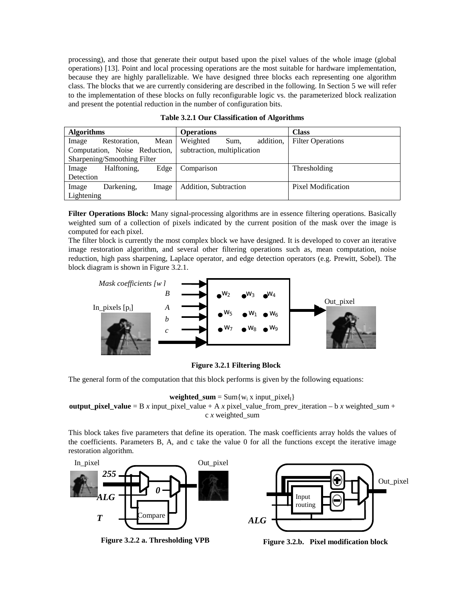processing), and those that generate their output based upon the pixel values of the whole image (global operations) [13]. Point and local processing operations are the most suitable for hardware implementation, because they are highly parallelizable. We have designed three blocks each representing one algorithm class. The blocks that we are currently considering are described in the following. In Section 5 we will refer to the implementation of these blocks on fully reconfigurable logic vs. the parameterized block realization and present the potential reduction in the number of configuration bits.

| <b>Algorithms</b>             |              |       | <b>Operations</b>           |      |           | <b>Class</b>             |
|-------------------------------|--------------|-------|-----------------------------|------|-----------|--------------------------|
| Image                         | Restoration, | Mean  | Weighted                    | Sum, | addition. | <b>Filter Operations</b> |
| Computation, Noise Reduction, |              |       | subtraction, multiplication |      |           |                          |
| Sharpening/Smoothing Filter   |              |       |                             |      |           |                          |
| Image                         | Halftoning.  | Edge  | Comparison                  |      |           | Thresholding             |
| Detection                     |              |       |                             |      |           |                          |
| Image                         | Darkening.   | Image | Addition, Subtraction       |      |           | Pixel Modification       |
| Lightening                    |              |       |                             |      |           |                          |

|  |  |  | <b>Table 3.2.1 Our Classification of Algorithms</b> |
|--|--|--|-----------------------------------------------------|
|--|--|--|-----------------------------------------------------|

**Filter Operations Block:** Many signal-processing algorithms are in essence filtering operations. Basically weighted sum of a collection of pixels indicated by the current position of the mask over the image is computed for each pixel.

The filter block is currently the most complex block we have designed. It is developed to cover an iterative image restoration algorithm, and several other filtering operations such as, mean computation, noise reduction, high pass sharpening, Laplace operator, and edge detection operators (e.g. Prewitt, Sobel). The block diagram is shown in Figure 3.2.1.



**Figure 3.2.1 Filtering Block**

The general form of the computation that this block performs is given by the following equations:

**weighted\_sum** = Sum{ $w_i$  x input\_pixel<sub>I</sub>}

**output\_pixel\_value** = B *x* input\_pixel\_value + A *x* pixel\_value\_from\_prev\_iteration – b *x* weighted\_sum + c *x* weighted\_sum

This block takes five parameters that define its operation. The mask coefficients array holds the values of the coefficients. Parameters B, A, and c take the value 0 for all the functions except the iterative image restoration algorithm.



**Figure 3.2.2 a. Thresholding VPB**



**Figure 3.2.b. Pixel modification block**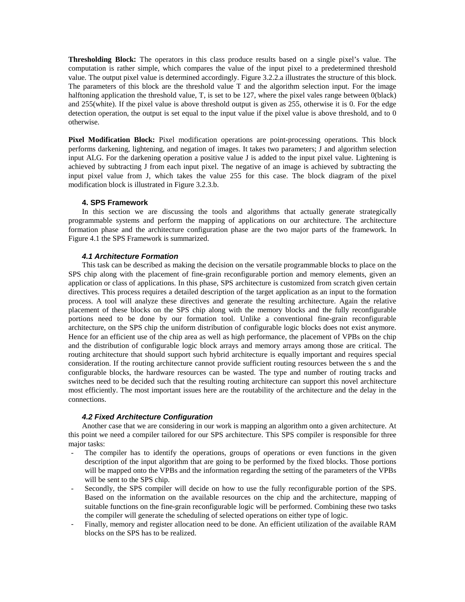**Thresholding Block:** The operators in this class produce results based on a single pixel's value. The computation is rather simple, which compares the value of the input pixel to a predetermined threshold value. The output pixel value is determined accordingly. Figure 3.2.2.a illustrates the structure of this block. The parameters of this block are the threshold value T and the algorithm selection input. For the image halftoning application the threshold value, T, is set to be 127, where the pixel vales range between 0(black) and 255(white). If the pixel value is above threshold output is given as 255, otherwise it is 0. For the edge detection operation, the output is set equal to the input value if the pixel value is above threshold, and to 0 otherwise.

**Pixel Modification Block:** Pixel modification operations are point-processing operations. This block performs darkening, lightening, and negation of images. It takes two parameters; J and algorithm selection input ALG. For the darkening operation a positive value J is added to the input pixel value. Lightening is achieved by subtracting J from each input pixel. The negative of an image is achieved by subtracting the input pixel value from J, which takes the value 255 for this case. The block diagram of the pixel modification block is illustrated in Figure 3.2.3.b.

## **4. SPS Framework**

In this section we are discussing the tools and algorithms that actually generate strategically programmable systems and perform the mapping of applications on our architecture. The architecture formation phase and the architecture configuration phase are the two major parts of the framework. In Figure 4.1 the SPS Framework is summarized.

#### **4.1 Architecture Formation**

This task can be described as making the decision on the versatile programmable blocks to place on the SPS chip along with the placement of fine-grain reconfigurable portion and memory elements, given an application or class of applications. In this phase, SPS architecture is customized from scratch given certain directives. This process requires a detailed description of the target application as an input to the formation process. A tool will analyze these directives and generate the resulting architecture. Again the relative placement of these blocks on the SPS chip along with the memory blocks and the fully reconfigurable portions need to be done by our formation tool. Unlike a conventional fine-grain reconfigurable architecture, on the SPS chip the uniform distribution of configurable logic blocks does not exist anymore. Hence for an efficient use of the chip area as well as high performance, the placement of VPBs on the chip and the distribution of configurable logic block arrays and memory arrays among those are critical. The routing architecture that should support such hybrid architecture is equally important and requires special consideration. If the routing architecture cannot provide sufficient routing resources between the s and the configurable blocks, the hardware resources can be wasted. The type and number of routing tracks and switches need to be decided such that the resulting routing architecture can support this novel architecture most efficiently. The most important issues here are the routability of the architecture and the delay in the connections.

#### **4.2 Fixed Architecture Configuration**

Another case that we are considering in our work is mapping an algorithm onto a given architecture. At this point we need a compiler tailored for our SPS architecture. This SPS compiler is responsible for three major tasks:

- The compiler has to identify the operations, groups of operations or even functions in the given description of the input algorithm that are going to be performed by the fixed blocks. Those portions will be mapped onto the VPBs and the information regarding the setting of the parameters of the VPBs will be sent to the SPS chip.
- Secondly, the SPS compiler will decide on how to use the fully reconfigurable portion of the SPS. Based on the information on the available resources on the chip and the architecture, mapping of suitable functions on the fine-grain reconfigurable logic will be performed. Combining these two tasks the compiler will generate the scheduling of selected operations on either type of logic.
- Finally, memory and register allocation need to be done. An efficient utilization of the available RAM blocks on the SPS has to be realized.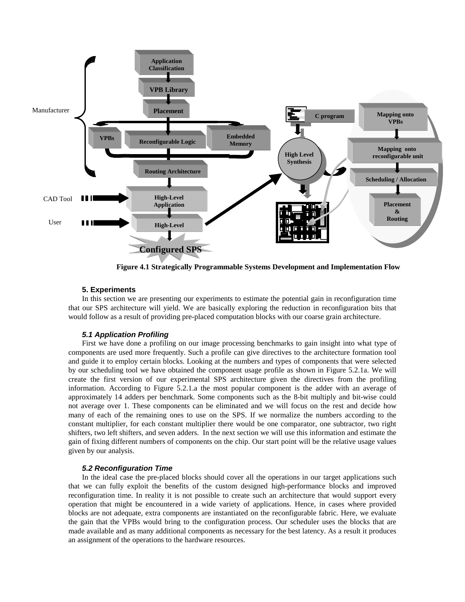

**Figure 4.1 Strategically Programmable Systems Development and Implementation Flow**

## **5. Experiments**

In this section we are presenting our experiments to estimate the potential gain in reconfiguration time that our SPS architecture will yield. We are basically exploring the reduction in reconfiguration bits that would follow as a result of providing pre-placed computation blocks with our coarse grain architecture.

# **5.1 Application Profiling**

First we have done a profiling on our image processing benchmarks to gain insight into what type of components are used more frequently. Such a profile can give directives to the architecture formation tool and guide it to employ certain blocks. Looking at the numbers and types of components that were selected by our scheduling tool we have obtained the component usage profile as shown in Figure 5.2.1a. We will create the first version of our experimental SPS architecture given the directives from the profiling information. According to Figure 5.2.1.a the most popular component is the adder with an average of approximately 14 adders per benchmark. Some components such as the 8-bit multiply and bit-wise could not average over 1. These components can be eliminated and we will focus on the rest and decide how many of each of the remaining ones to use on the SPS. If we normalize the numbers according to the constant multiplier, for each constant multiplier there would be one comparator, one subtractor, two right shifters, two left shifters, and seven adders. In the next section we will use this information and estimate the gain of fixing different numbers of components on the chip. Our start point will be the relative usage values given by our analysis.

## **5.2 Reconfiguration Time**

In the ideal case the pre-placed blocks should cover all the operations in our target applications such that we can fully exploit the benefits of the custom designed high-performance blocks and improved reconfiguration time. In reality it is not possible to create such an architecture that would support every operation that might be encountered in a wide variety of applications. Hence, in cases where provided blocks are not adequate, extra components are instantiated on the reconfigurable fabric. Here, we evaluate the gain that the VPBs would bring to the configuration process. Our scheduler uses the blocks that are made available and as many additional components as necessary for the best latency. As a result it produces an assignment of the operations to the hardware resources.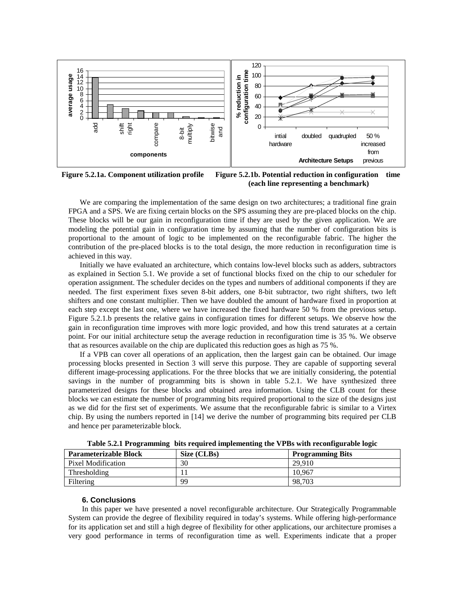

**Figure 5.2.1a. Component utilization profile Figure 5.2.1b. Potential reduction in configuration time (each line representing a benchmark)**

We are comparing the implementation of the same design on two architectures; a traditional fine grain FPGA and a SPS. We are fixing certain blocks on the SPS assuming they are pre-placed blocks on the chip. These blocks will be our gain in reconfiguration time if they are used by the given application. We are modeling the potential gain in configuration time by assuming that the number of configuration bits is proportional to the amount of logic to be implemented on the reconfigurable fabric. The higher the contribution of the pre-placed blocks is to the total design, the more reduction in reconfiguration time is achieved in this way.

Initially we have evaluated an architecture, which contains low-level blocks such as adders, subtractors as explained in Section 5.1. We provide a set of functional blocks fixed on the chip to our scheduler for operation assignment. The scheduler decides on the types and numbers of additional components if they are needed. The first experiment fixes seven 8-bit adders, one 8-bit subtractor, two right shifters, two left shifters and one constant multiplier. Then we have doubled the amount of hardware fixed in proportion at each step except the last one, where we have increased the fixed hardware 50 % from the previous setup. Figure 5.2.1.b presents the relative gains in configuration times for different setups. We observe how the gain in reconfiguration time improves with more logic provided, and how this trend saturates at a certain point. For our initial architecture setup the average reduction in reconfiguration time is 35 %. We observe that as resources available on the chip are duplicated this reduction goes as high as 75 %.

If a VPB can cover all operations of an application, then the largest gain can be obtained. Our image processing blocks presented in Section 3 will serve this purpose. They are capable of supporting several different image-processing applications. For the three blocks that we are initially considering, the potential savings in the number of programming bits is shown in table 5.2.1. We have synthesized three parameterized designs for these blocks and obtained area information. Using the CLB count for these blocks we can estimate the number of programming bits required proportional to the size of the designs just as we did for the first set of experiments. We assume that the reconfigurable fabric is similar to a Virtex chip. By using the numbers reported in [14] we derive the number of programming bits required per CLB and hence per parameterizable block.

| <b>Parameterizable Block</b> | Size (CLBs) | <b>Programming Bits</b> |
|------------------------------|-------------|-------------------------|
| Pixel Modification           | 30          | 29.910                  |
| Thresholding                 |             | 10.967                  |
| Filtering                    | 99          | 98,703                  |

**Table 5.2.1 Programming bits required implementing the VPBs with reconfigurable logic**

## **6. Conclusions**

In this paper we have presented a novel reconfigurable architecture. Our Strategically Programmable System can provide the degree of flexibility required in today's systems. While offering high-performance for its application set and still a high degree of flexibility for other applications, our architecture promises a very good performance in terms of reconfiguration time as well. Experiments indicate that a proper